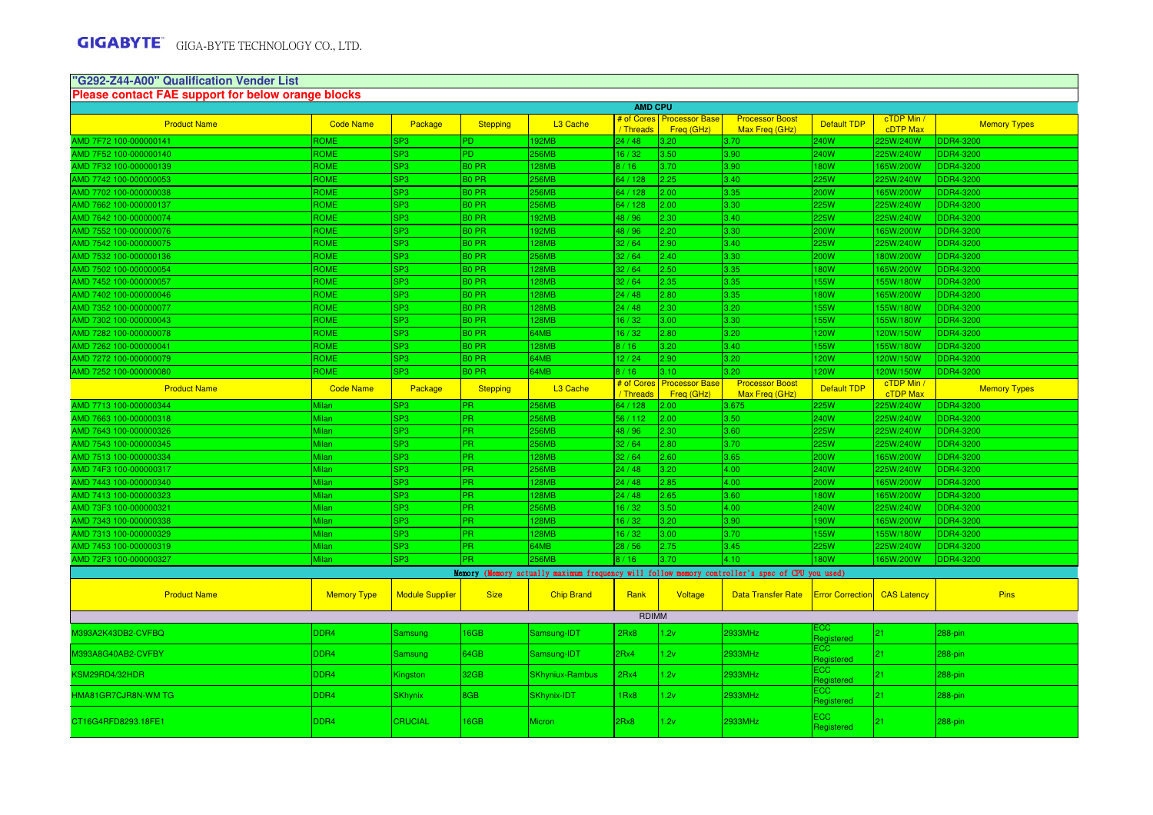# **"G292-Z44-A00" Qualification Vender List**

| Please contact FAE support for below orange blocks<br><b>AMD CPU</b> |                    |                        |                   |                        |                        |                                     |                                                                                                 |                           |                        |                     |  |
|----------------------------------------------------------------------|--------------------|------------------------|-------------------|------------------------|------------------------|-------------------------------------|-------------------------------------------------------------------------------------------------|---------------------------|------------------------|---------------------|--|
|                                                                      |                    |                        |                   |                        |                        | # of Cores Processor Base           | <b>Processor Boost</b>                                                                          |                           | cTDP Min /             |                     |  |
| <b>Product Name</b>                                                  | <b>Code Name</b>   | Package                | <b>Stepping</b>   | L <sub>3</sub> Cache   | / Threads              | Freq (GHz)                          | Max Freq (GHz)                                                                                  | <b>Default TDP</b>        | <b>cDTP Max</b>        | <b>Memory Types</b> |  |
| AMD 7F72 100-000000141                                               | <b>ROME</b>        | SP <sub>3</sub>        | <b>PD</b>         | <b>192MB</b>           | 24/48                  | 3.20                                | 3.70                                                                                            | 40W                       | 225W/240W              | <b>DDR4-3200</b>    |  |
| AMD 7F52 100-000000140                                               | ROME               | SP <sub>3</sub>        | PD.               | <b>256MB</b>           | 16/32                  | 3.50                                | 3.90                                                                                            | 240W                      | 225W/240W              | <b>DDR4-3200</b>    |  |
| AMD 7F32 100-000000139                                               | ROME               | SP <sub>3</sub>        | <b>BO PR</b>      | 128MB                  | 8/16                   | 3.70                                | 3.90                                                                                            | 80W                       | 165W/200W              | <b>DDR4-3200</b>    |  |
| AMD 7742 100-000000053                                               | ROME               | SP <sub>3</sub>        | B <sub>0</sub> PR | <b>256MB</b>           | 64 / 128               | 2.25                                | 3.40                                                                                            | 25W                       | 225W/240W              | <b>DDR4-3200</b>    |  |
| MD 7702 100-000000038                                                | <b>ROME</b>        | SP <sub>3</sub>        | B <sub>0</sub> PR | <b>256MB</b>           | 64 / 128               | 2.00                                | 3.35                                                                                            | 200W                      | 165W/200W              | <b>DDR4-3200</b>    |  |
| MD 7662 100-000000137                                                | <b>ROME</b>        | SP <sub>3</sub>        | B <sub>0</sub> PR | <b>256MB</b>           | 64 / 128               | 2.00                                | 3.30                                                                                            | 25W                       | 225W/240W              | <b>DDR4-3200</b>    |  |
| MD 7642 100-000000074                                                | <b>ROME</b>        | SP <sub>3</sub>        | B <sub>0</sub> PR | 192MB                  | 48/96                  | 2.30                                | 3.40                                                                                            | 25W                       | 225W/240W              | <b>DDR4-3200</b>    |  |
| MD 7552 100-000000076                                                | <b>ROME</b>        | SP <sub>3</sub>        | B <sub>0</sub> PR | 192MB                  | 48 / 96                | 2.20                                | 3.30                                                                                            | <b>00W</b>                | 165W/200W              | DDR4-3200           |  |
| MD 7542 100-000000075                                                | <b>ROME</b>        | SP <sub>3</sub>        | B <sub>0</sub> PR | <b>128MB</b>           | 32/64                  | 2.90                                | 3.40                                                                                            | 25W                       | 225W/240W              | <b>DDR4-3200</b>    |  |
| MD 7532 100-000000136                                                | ROME               | SP <sub>3</sub>        | B <sub>0</sub> PR | 256MB                  | 32/64                  | 2.40                                | 3.30                                                                                            | <b>00W</b>                | 180W/200W              | <b>DDR4-3200</b>    |  |
| MD 7502 100-000000054                                                | ROME               | SP <sub>3</sub>        | B <sub>0</sub> PR | <b>128MB</b>           | 32/64                  | 2.50                                | 3.35                                                                                            | 80W                       | 165W/200W              | <b>DDR4-3200</b>    |  |
| MD 7452 100-000000057                                                | ROME               | SP <sub>3</sub>        | B <sub>0</sub> PR | 128MB                  | 32/64                  | 2.35                                | 3.35                                                                                            | 55W                       | 155W/180W              | <b>DDR4-3200</b>    |  |
| MD 7402 100-000000046                                                | ROME               | SP <sub>3</sub>        | B <sub>0</sub> PR | <b>128MB</b>           | 24/48                  | 2.80                                | 3.35                                                                                            | 80W                       | 165W/200W              | <b>DDR4-3200</b>    |  |
| MD 7352 100-000000077                                                | ROME               | SP <sub>3</sub>        | B <sub>0</sub> PR | 128MB                  | 24/48                  | 2.30                                | 3.20                                                                                            | 55W                       | 155W/180W              | <b>DDR4-3200</b>    |  |
| MD 7302 100-000000043                                                | ROME               | SP <sub>3</sub>        | B <sub>0</sub> PR | 128MB                  | 16/32                  | 3.00                                | 3.30                                                                                            | 55W                       | 155W/180W              | <b>DDR4-3200</b>    |  |
| MD 7282 100-000000078                                                | <b>ROME</b>        | SP <sub>3</sub>        | B <sub>0</sub> PR | 64MB                   | 16/32                  | 2.80                                | 3.20                                                                                            | <b>20W</b>                | 120W/150W              | <b>DDR4-3200</b>    |  |
| MD 7262 100-000000041                                                | ROME               | SP <sub>3</sub>        | <b>BO PR</b>      | <b>128MB</b>           | 8/16                   | 3.20                                | 3.40                                                                                            | 55W                       | 155W/180W              | <b>DDR4-3200</b>    |  |
| MD 7272 100-000000079                                                | ROME               | SP <sub>3</sub>        | B <sub>0</sub> PR | 64MB                   | 12/24                  | 2.90                                | 3.20                                                                                            | <b>20W</b>                | 120W/150W              | <b>DDR4-3200</b>    |  |
| MD 7252 100-000000080                                                | ROME               | SP <sub>3</sub>        | B <sub>0</sub> PR | 64MB                   | 8/16                   | 3.10                                | 3.20                                                                                            | <b>20W</b>                | 120W/150W              | <b>DDR4-3200</b>    |  |
| <b>Product Name</b>                                                  | <b>Code Name</b>   | Package                | <b>Stepping</b>   | L3 Cache               | # of Cores<br>/Threads | <b>Processor Base</b><br>Freq (GHz) | <b>Processor Boost</b><br>Max Freq (GHz)                                                        | <b>Default TDP</b>        | cTDP Min /<br>cTDP Max | <b>Memory Types</b> |  |
| AMD 7713 100-000000344                                               | Milan              | SP <sub>3</sub>        | <b>PR</b>         | <b>256MB</b>           | 64 / 128               | 2.00                                | 3.675                                                                                           | 25W                       | 225W/240W              | <b>DDR4-3200</b>    |  |
| AMD 7663 100-000000318                                               | <b>Milan</b>       | SP3                    | <b>PR</b>         | <b>256MB</b>           | 56 / 112               | 2.00                                | 3.50                                                                                            | 240W                      | 225W/240W              | <b>DDR4-3200</b>    |  |
| AMD 7643 100-000000326                                               | Milan              | SP <sub>3</sub>        | PR                | <b>256MB</b>           | 48 / 96                | 2.30                                | 3.60                                                                                            | 25W                       | 225W/240W              | <b>DDR4-3200</b>    |  |
| AMD 7543 100-000000345                                               | <b>Milan</b>       | SP <sub>3</sub>        | PR                | <b>256MB</b>           | 32/64                  | 2.80                                | 3.70                                                                                            | 25W                       | 225W/240W              | <b>DDR4-3200</b>    |  |
| AMD 7513 100-000000334                                               | Milan              | SP <sub>3</sub>        | <b>PR</b>         | 128MB                  | 32/64                  | 2.60                                | 3.65                                                                                            | 200W                      | 165W/200W              | <b>DDR4-3200</b>    |  |
| AMD 74F3 100-000000317                                               | Milan              | SP <sub>3</sub>        | lPR.              | <b>256MB</b>           | 24/48                  | 3.20                                | 4.00                                                                                            | 240W                      | 225W/240W              | <b>DDR4-3200</b>    |  |
| AMD 7443 100-000000340                                               | <b>Milan</b>       | SP <sub>3</sub>        | <b>PR</b>         | 128MB                  | 24/48                  | 2.85                                | 4.00                                                                                            | 200W                      | 165W/200W              | <b>DDR4-3200</b>    |  |
| AMD 7413 100-000000323                                               | <b>Milan</b>       | SP <sub>3</sub>        | PR.               | 128MB                  | 24/48                  | 2.65                                | 3.60                                                                                            | 80W                       | 165W/200W              | <b>DDR4-3200</b>    |  |
| AMD 73F3 100-000000321                                               | <b>Milan</b>       | SP <sub>3</sub>        | <b>PR</b>         | 256MB                  | 16 / 32                | 3.50                                | 4.00                                                                                            | 40W                       | 225W/240W              | <b>DDR4-3200</b>    |  |
| AMD 7343 100-000000338                                               | <b>Milan</b>       | SP <sub>3</sub>        | <b>PR</b>         | <b>128MB</b>           | 16/32                  | 3.20                                | 3.90                                                                                            | 90W                       | 165W/200W              | <b>DDR4-3200</b>    |  |
| AMD 7313 100-000000329                                               | Milan              | SP <sub>3</sub>        | <b>PR</b>         | 128MB                  | 16/32                  | 3.00                                | 3.70                                                                                            | <b>55W</b>                | 155W/180W              | <b>DDR4-3200</b>    |  |
| AMD 7453 100-000000319                                               | Milan              | SP <sub>3</sub>        | <b>PR</b>         | 64MB                   | 28/56                  | 2.75                                | 3.45                                                                                            | 25W                       | 225W/240W              | <b>DDR4-3200</b>    |  |
| AMD 72F3 100-000000327                                               | <b>Milan</b>       | SP <sub>3</sub>        | PR                | <b>256MB</b>           | 8/16                   | 3.70                                | 4.10                                                                                            | 80W                       | 165W/200W              | <b>DDR4-3200</b>    |  |
|                                                                      |                    |                        |                   |                        |                        |                                     | Memory (Memory actually maximum frequency will follow memory controller's spec of CPU you used) |                           |                        |                     |  |
| <b>Product Name</b>                                                  | <b>Memory Type</b> | <b>Module Supplier</b> | <b>Size</b>       | <b>Chip Brand</b>      | Rank                   | Voltage                             | <b>Data Transfer Rate</b>                                                                       | <b>Error Correction</b>   | <b>CAS Latency</b>     | <b>Pins</b>         |  |
|                                                                      |                    |                        |                   |                        | RDIMM                  |                                     |                                                                                                 |                           |                        |                     |  |
| M393A2K43DB2-CVFBQ                                                   | DDR4               | Samsung                | 6GB               | Samsung-IDT            | 2Rx8                   | 1.2v                                | 2933MHz                                                                                         | ЮC<br>Registered          | 21                     | 288-pin             |  |
| M393A8G40AB2-CVFBY                                                   | DDR4               | Samsung                | 64GB              | Samsung-IDT            | 2Rx4                   | 1.2v                                | 2933MHz                                                                                         | <b>CC</b>                 | 21                     | 288-pin             |  |
| KSM29RD4/32HDR                                                       | DDR4               | Kingston               | 32GB              | <b>SKhyniux-Rambus</b> | 2Rx4                   | 1.2v                                | 2933MHz                                                                                         | <b>Registered</b><br>ECC. | 21                     | 288-pin             |  |
| HMA81GR7CJR8N-WM TG                                                  | DDR4               | <b>SKhynix</b>         | 8GB               | <b>SKhynix-IDT</b>     | 1Rx8                   | 1.2v                                | 2933MHz                                                                                         | Registered<br>ECC         | 21                     | 288-pin             |  |
|                                                                      |                    |                        |                   |                        |                        |                                     |                                                                                                 | <b>Registerec</b><br>ECC  |                        |                     |  |
| CT16G4RFD8293.18FE1                                                  | DDR4               | <b>CRUCIAL</b>         | 16GB              | <b>Micron</b>          | 2Rx8                   | 1.2v                                | 2933MHz                                                                                         | Registered                | 21                     | 288-pin             |  |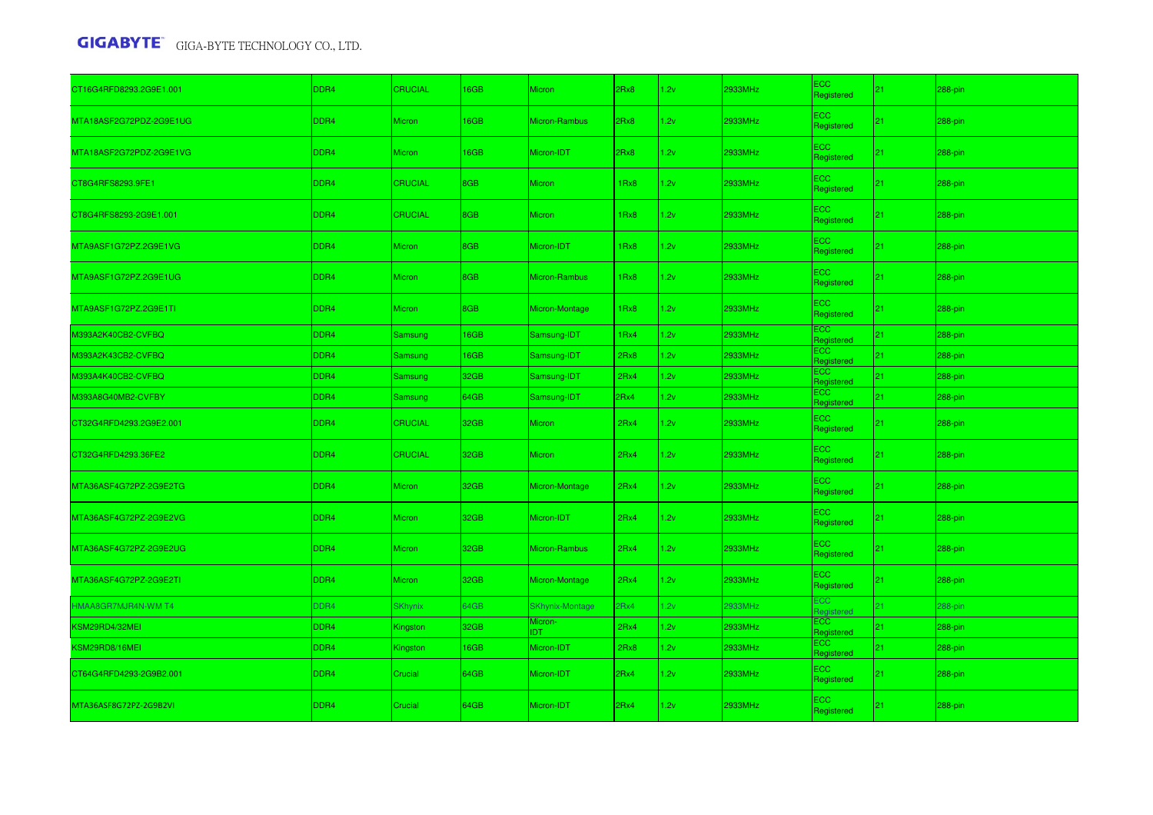| CT16G4RFD8293.2G9E1.001 | DDR4             | <b>CRUCIAL</b> | 16GB | <b>Micron</b>          | 2Rx8 | 1.2v | 2933MHz | ECC<br>Registered             | 21 | 288-pin    |
|-------------------------|------------------|----------------|------|------------------------|------|------|---------|-------------------------------|----|------------|
| MTA18ASF2G72PDZ-2G9E1UG | DDR4             | <b>Micron</b>  | 16GB | Micron-Rambus          | 2Rx8 | 1.2v | 2933MHz | ECC<br>Registered             | 21 | 288-pin    |
| MTA18ASF2G72PDZ-2G9E1VG | DDR4             | Micron         | 16GB | Micron-IDT             | 2Rx8 | 1.2v | 2933MHz | ECC.<br>Registered            | 21 | 288-pin    |
| CT8G4RFS8293.9FE1       | DDR4             | <b>CRUCIAL</b> | 8GB  | <b>Micron</b>          | 1Rx8 | 1.2v | 2933MHz | ECC.<br>Registered            | 21 | 288-pin    |
| CT8G4RFS8293-2G9E1.001  | DDR4             | <b>CRUCIAL</b> | 8GB  | <b>Micron</b>          | 1Rx8 | 1.2v | 2933MHz | ECC.<br>Registered            | 21 | 288-pin    |
| MTA9ASF1G72PZ.2G9E1VG   | DDR4             | <b>Micron</b>  | 8GB  | Micron-IDT             | 1Rx8 | 1.2v | 2933MHz | ECC<br>Registered             | 21 | $288$ -pin |
| MTA9ASF1G72PZ.2G9E1UG   | DDR4             | Micron         | 8GB  | Micron-Rambus          | 1Rx8 | 1.2v | 2933MHz | ECC<br>Registered             | 21 | 288-pin    |
| MTA9ASF1G72PZ.2G9E1TI   | DDR4             | <b>Micron</b>  | 8GB  | Micron-Montage         | 1Rx8 | 1.2v | 2933MHz | ECC.<br>Registered            | 21 | 288-pin    |
| M393A2K40CB2-CVFBQ      | DDR4             | Samsung        | 16GB | Samsung-IDT            | 1Rx4 | 1.2v | 2933MHz | ECC.<br>Registered            | 21 | 288-pin    |
| M393A2K43CB2-CVFBQ      | DDR4             | <b>Samsung</b> | 16GB | Samsung-IDT            | 2Rx8 | 1.2v | 2933MHz | ECC<br>Registered             | 21 | 288-pin    |
| M393A4K40CB2-CVFBQ      | DDR4             | <b>Samsung</b> | 32GB | Samsung-IDT            | 2Rx4 | 1.2v | 2933MHz | ECC<br>Registered             | 21 | 288-pin    |
| M393A8G40MB2-CVFBY      | DDR4             | Samsung        | 64GB | Samsung-IDT            | 2Rx4 | 1.2v | 2933MHz | ECC<br>Registered             | 21 | 288-pin    |
| CT32G4RFD4293.2G9E2.001 | DDR4             | CRUCIAL        | 32GB | <b>Micron</b>          | 2Rx4 | 1.2v | 2933MHz | $\equiv$ CC<br>Registered     | 21 | 288-pin    |
| CT32G4RFD4293.36FE2     | DDR4             | <b>CRUCIAL</b> | 32GB | <b>Micron</b>          | 2Rx4 | 1.2v | 2933MHz | ECC<br>Registered             | 21 | 288-pin    |
| MTA36ASF4G72PZ-2G9E2TG  | DDR4             | <b>Micron</b>  | 32GB | Micron-Montage         | 2Rx4 | 1.2v | 2933MHz | ECC<br>Registered             | 21 | 288-pin    |
| MTA36ASF4G72PZ-2G9E2VG  | DDR4             | <b>Micron</b>  | 32GB | Micron-IDT             | 2Rx4 | 1.2v | 2933MHz | ECC<br>Registered             | 21 | 288-pin    |
| MTA36ASF4G72PZ-2G9E2UG  | DDR4             | <b>Micron</b>  | 32GB | Micron-Rambus          | 2Rx4 | 1.2v | 2933MHz | ECC.<br>Registered            | 21 | 288-pin    |
| MTA36ASF4G72PZ-2G9E2TI  | DDR4             | Micron         | 32GB | Micron-Montage         | 2Rx4 | 1.2v | 2933MHz | ECC<br>Registered             | 21 | 288-pin    |
| HMAA8GR7MJR4N-WM T4     | DDR4             | <b>SKhynix</b> | 64GB | <b>SKhynix-Montage</b> | 2Rx4 | 1.2v | 2933MHz | <b>CC</b><br><b>leaistere</b> | 21 | 288-pin    |
| KSM29RD4/32MEI          | DDR4             | Kingston       | 32GB | Micron-<br><b>IDT</b>  | 2Rx4 | 1.2v | 2933MHz | ECC.<br>Registered            | 21 | 288-pin    |
| KSM29RD8/16MEI          | DDR4             | Kingston       | 16GB | Micron-IDT             | 2Rx8 | 1.2v | 2933MHz | ECC :<br>Registered           | 21 | 288-pin    |
| CT64G4RFD4293-2G9B2.001 | DDR4             | Crucial        | 64GB | Micron-IDT             | 2Rx4 | 1.2v | 2933MHz | EC <sub>2</sub><br>Registered | 21 | 288-pin    |
| MTA36ASF8G72PZ-2G9B2VI  | DDR <sub>4</sub> | Crucial        | 64GB | Micron-IDT             | 2Rx4 | 1.2v | 2933MHz | ECC<br>Registered             | 21 | 288-pin    |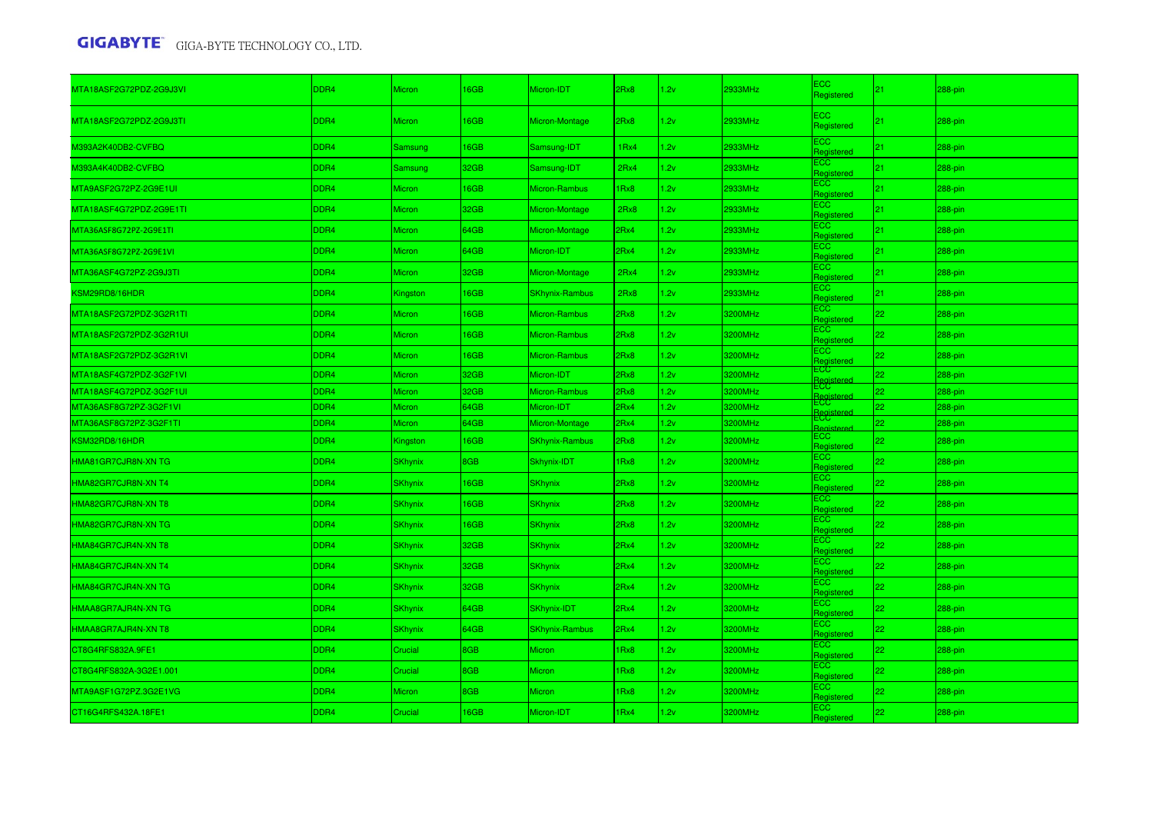| MTA18ASF2G72PDZ-2G9J3VI | DDR4        | <b>Micron</b>  | 16GB | Micron-IDT            | 2Rx8             | 1.2v | 2933MHz | ECC<br>Registered       | 21              | 288-pin |
|-------------------------|-------------|----------------|------|-----------------------|------------------|------|---------|-------------------------|-----------------|---------|
| MTA18ASF2G72PDZ-2G9J3TI | DDR4        | <b>Micron</b>  | 16GB | Micron-Montage        | 2Rx8             | 1.2v | 2933MHz | ECC<br>Registered       | 21              | 288-pin |
| M393A2K40DB2-CVFBQ      | DDR4        | Samsung        | 16GB | Samsung-IDT           | 1 <sub>Rx4</sub> | 1.2v | 2933MHz | ECC<br>Registered       | 21              | 288-pin |
| M393A4K40DB2-CVFBQ      | <b>DDR4</b> | Samsung        | 32GB | Samsung-IDT           | 2Rx4             | 1.2v | 2933MHz | ECC<br>Registered       | 21              | 288-pin |
| MTA9ASF2G72PZ-2G9E1UI   | <b>DDR4</b> | <b>Micron</b>  | 16GB | Micron-Rambus         | 1Rx8             | 1.2v | 2933MHz | :CC<br>Registered       | 21              | 288-pin |
| MTA18ASF4G72PDZ-2G9E1TI | <b>DDR4</b> | Micron         | 32GB | Micron-Montage        | 2Rx8             | 1.2v | 2933MHz | :CC<br>Registered       | 21              | 288-pin |
| MTA36ASF8G72PZ-2G9E1TI  | <b>DDR4</b> | Micron         | 64GB | Micron-Montage        | 2Rx4             | 1.2v | 2933MHz | ECC<br>Registered       | 21              | 288-pin |
| MTA36ASF8G72PZ-2G9E1VI  | DDR4        | Micron         | 64GB | Micron-IDT            | 2Rx4             | 1.2v | 2933MHz | ECC<br>Registered       | 21              | 288-pin |
| MTA36ASF4G72PZ-2G9J3TI  | DDR4        | <b>Micron</b>  | 32GB | Micron-Montage        | 2Rx4             | 1.2v | 2933MHz | ECC<br>Registered       | 21              | 288-pin |
| KSM29RD8/16HDR          | DDR4        | Kingston       | 16GB | <b>SKhynix-Rambus</b> | 2Rx8             | 1.2v | 2933MHz | ECC<br>Registerec       | 21              | 288-pin |
| MTA18ASF2G72PDZ-3G2R1TI | <b>DDR4</b> | Micron         | 16GB | Micron-Rambus         | 2Rx8             | 1.2v | 3200MHz | ECC<br>Registered       | 22              | 288-pin |
| MTA18ASF2G72PDZ-3G2R1UI | <b>DDR4</b> | Micron         | 16GB | Micron-Rambus         | 2Rx8             | 1.2v | 3200MHz | ECC<br>Registered       | 22              | 288-pin |
| MTA18ASF2G72PDZ-3G2R1VI | DDR4        | Micron         | 16GB | Micron-Rambus         | 2Rx8             | 1.2v | 3200MHz | :CC<br>Registered       | 22              | 288-pin |
| MTA18ASF4G72PDZ-3G2F1VI | <b>DDR4</b> | Micron         | 32GB | Micron-IDT            | 2Rx8             | 1.2v | 3200MHz | ECC<br><b>Registere</b> | 22              | 288-pin |
| MTA18ASF4G72PDZ-3G2F1UI | <b>DDR4</b> | Micron         | 32GB | Micron-Rambus         | 2Rx8             | 1.2v | 3200MHz | ECC.                    | 22              | 288-pin |
| MTA36ASF8G72PZ-3G2F1VI  | DDR4        | Micron         | 64GB | Micron-IDT            | 2Rx4             | 1.2v | 3200MHz |                         | 22              | 288-pin |
| MTA36ASF8G72PZ-3G2F1TI  | DDR4        | <b>Micron</b>  | 64GB | Micron-Montage        | 2Rx4             | 1.2v | 3200MHz | ECC<br>lanietare        | 22              | 288-pin |
| KSM32RD8/16HDR          | <b>DDR4</b> | Kingston       | 16GB | <b>SKhynix-Rambus</b> | 2Rx8             | 1.2v | 3200MHz | ECC<br>Registered       | 22              | 288-pin |
| HMA81GR7CJR8N-XN TG     | <b>DDR4</b> | <b>SKhynix</b> | 8GB  | Skhynix-IDT           | 1Rx8             | 1.2v | 3200MHz | ECC.<br>Registered      | 22              | 288-pin |
| HMA82GR7CJR8N-XN T4     | <b>DDR4</b> | <b>SKhynix</b> | 16GB | <b>SKhynix</b>        | 2Rx8             | 1.2v | 3200MHz | ECC.<br>Registered      | 22              | 288-pin |
| HMA82GR7CJR8N-XN T8     | DDR4        | <b>SKhynix</b> | 16GB | <b>SKhynix</b>        | 2Rx8             | 1.2v | 3200MHz | CC.<br>Registered       | 22 <sub>2</sub> | 288-pin |
| HMA82GR7CJR8N-XN TG     | DDR4        | <b>SKhynix</b> | 16GB | <b>SKhynix</b>        | 2Rx8             | 1.2v | 3200MHz | <b>CC</b><br>Registered | 22              | 288-pin |
| HMA84GR7CJR4N-XN T8     | DDR4        | <b>SKhynix</b> | 32GB | SKhynix               | 2Rx4             | 1.2v | 3200MHz | ECC<br>Registered       | 22              | 288-pin |
| HMA84GR7CJR4N-XN T4     | <b>DDR4</b> | <b>SKhynix</b> | 32GB | <b>SKhynix</b>        | 2Rx4             | 1.2v | 3200MHz | ECC<br>Registered       | 22              | 288-pin |
| HMA84GR7CJR4N-XN TG     | DDR4        | <b>SKhynix</b> | 32GB | <b>SKhynix</b>        | 2Rx4             | 1.2v | 3200MHz | ECC<br>Registered       | 22              | 288-pin |
| HMAA8GR7AJR4N-XN TG     | <b>DDR4</b> | <b>SKhynix</b> | 64GB | SKhynix-IDT           | 2Rx4             | 1.2v | 3200MHz | ECC<br>Registered       | 22 <sub>2</sub> | 288-pin |
| HMAA8GR7AJR4N-XN T8     | DDR4        | <b>SKhynix</b> | 64GB | <b>SKhynix-Rambus</b> | 2Rx4             | 1.2v | 3200MHz | ECC<br>Registered       | 22              | 288-pin |
| CT8G4RFS832A.9FE1       | DDR4        | Crucial        | 8GB  | Micron                | 1Rx8             | 1.2v | 3200MHz | ECC.<br>Registered      | 22              | 288-pin |
| CT8G4RFS832A-3G2E1.001  | <b>DDR4</b> | Crucial        | 8GB  | Micron                | Rx8              | 1.2v | 3200MHz | ECC<br>Registered       | 22              | 288-pin |
| MTA9ASF1G72PZ.3G2E1VG   | <b>DDR4</b> | Micron         | 8GB  | Micron                | 1Rx8             | 1.2v | 3200MHz | ECC<br>Registered       | 22              | 288-pin |
| CT16G4RFS432A.18FE1     | <b>DDR4</b> | Crucial        | 16GB | Micron-IDT            | 1Rx4             | 1.2v | 3200MHz | CC<br>Registered        | 22 <sub>1</sub> | 288-pin |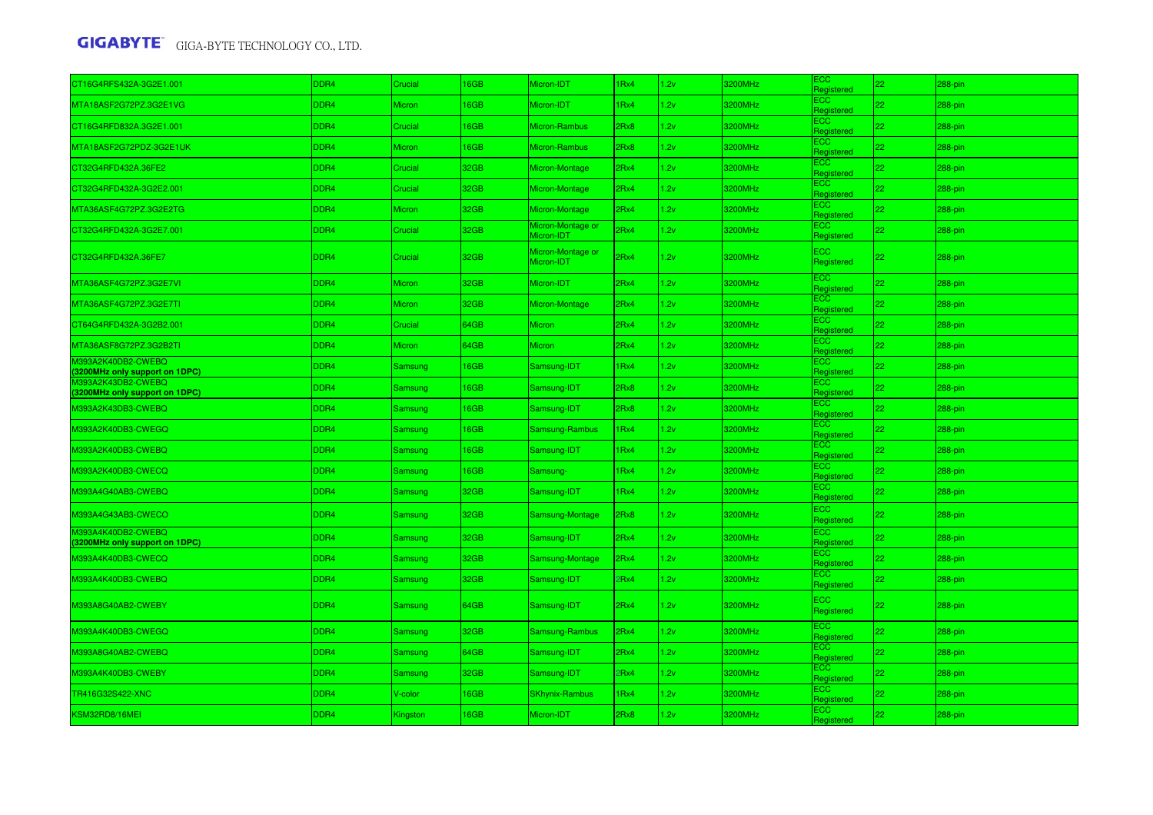| CT16G4RFS432A-3G2E1.001                              | DDR <sub>4</sub> | Crucial         | 16GB | Micron-IDT                      | 1 <sub>Rx4</sub> | 1.2v | 3200MHz | ECC<br>Registered        | 22 | 288-pin |
|------------------------------------------------------|------------------|-----------------|------|---------------------------------|------------------|------|---------|--------------------------|----|---------|
| MTA18ASF2G72PZ.3G2E1VG                               | DDR4             | Micron          | 16GB | Micron-IDT                      | 1Rx4             | 1.2v | 3200MHz | ECC.<br>Registered       | 22 | 288-pin |
| CT16G4RFD832A.3G2E1.001                              | DDR4             | Crucial         | 16GB | <b>Micron-Rambus</b>            | 2Rx8             | 1.2v | 3200MHz | ECC.<br>Registered       | 22 | 288-pin |
| MTA18ASF2G72PDZ-3G2E1UK                              | DDR4             | Micron          | 16GB | <b>Micron-Rambus</b>            | 2Rx8             | 1.2v | 3200MHz | ECC.<br>Registered       | 22 | 288-pin |
| CT32G4RFD432A.36FE2                                  | DDR4             | Crucial         | 32GB | Micron-Montage                  | 2Rx4             | 1.2v | 3200MHz | ECC<br>Registered        | 22 | 288-pin |
| CT32G4RFD432A-3G2E2.001                              | DDR4             | Crucial         | 32GB | Micron-Montage                  | 2Rx4             | 1.2v | 3200MHz | ECC.<br>Registered       | 22 | 288-pin |
| MTA36ASF4G72PZ.3G2E2TG                               | DDR <sub>4</sub> | Micron          | 32GB | Micron-Montage                  | 2Rx4             | 1.2v | 3200MHz | ECC.<br>Registered       | 22 | 288-pin |
| CT32G4RFD432A-3G2E7.001                              | DDR4             | <b>Crucial</b>  | 32GB | Micron-Montage or<br>Micron-IDT | 2Rx4             | 1.2v | 3200MHz | ECC.<br>Registered       | 22 | 288-pin |
| CT32G4RFD432A.36FE7                                  | DDR <sub>4</sub> | Crucial         | 32GB | Micron-Montage or<br>Micron-IDT | 2Rx4             | 1.2v | 3200MHz | <b>ECC</b><br>Registered | 22 | 288-pin |
| MTA36ASF4G72PZ.3G2E7VI                               | DDR4             | Micron          | 32GB | Micron-IDT                      | 2Rx4             | 1.2v | 3200MHz | ECC.<br>Registered       | 22 | 288-pin |
| MTA36ASF4G72PZ.3G2E7TI                               | DDR4             | Micron          | 32GB | Micron-Montage                  | 2Rx4             | 1.2v | 3200MHz | ECC.<br>Registered       | 22 | 288-pin |
| CT64G4RFD432A-3G2B2.001                              | DDR4             | Crucial         | 64GB | Micron                          | 2Rx4             | 1.2v | 3200MHz | ECC.<br>Registered       | 22 | 288-pin |
| MTA36ASF8G72PZ.3G2B2TI                               | DDR4             | Micron          | 64GB | Micron                          | 2Rx4             | 1.2v | 3200MHz | ECC.<br>Registerec       | 22 | 288-pin |
| M393A2K40DB2-CWEBQ<br>(3200MHz only support on 1DPC) | DDR4             | Samsung         | 16GB | Samsung-IDT                     | 1Rx4             | 1.2v | 3200MHz | ECC.<br>Registered       | 22 | 288-pin |
| M393A2K43DB2-CWEBQ<br>(3200MHz only support on 1DPC) | DDR4             | <b>Samsung</b>  | 16GB | Samsung-IDT                     | 2Rx8             | 1.2v | 3200MHz | ECC<br>Registered        | 22 | 288-pin |
| M393A2K43DB3-CWEBQ                                   | DDR4             | Samsung         | 16GB | Samsung-IDT                     | 2Rx8             | 1.2v | 3200MHz | ECC.<br>Registered       | 22 | 288-pin |
| M393A2K40DB3-CWEGQ                                   | DDR4             | Samsung         | 16GB | Samsung-Rambus                  | 1 <sub>Rx4</sub> | 1.2v | 3200MHz | ECC.<br>Registered       | 22 | 288-pin |
| M393A2K40DB3-CWEBQ                                   | DDR4             | Samsung         | 16GB | Samsung-IDT                     | 1 <sub>Rx4</sub> | 1.2v | 3200MHz | ECC.<br>Registered       | 22 | 288-pin |
| M393A2K40DB3-CWECQ                                   | DDR4             | Samsung         | 16GB | Samsung-                        | 1Rx4             | 1.2v | 3200MHz | ECC.<br>Registered       | 22 | 288-pin |
| M393A4G40AB3-CWEBQ                                   | DDR4             | Samsung         | 32GB | Samsung-IDT                     | 1 <sub>Rx4</sub> | 1.2v | 3200MHz | <b>ECC</b><br>Registered | 22 | 288-pin |
| M393A4G43AB3-CWECO                                   | DDR4             | Samsung         | 32GB | Samsung-Montage                 | 2Rx8             | 1.2v | 3200MHz | ECC.<br>Registered       | 22 | 288-pin |
| M393A4K40DB2-CWEBQ<br>(3200MHz only support on 1DPC) | DDR4             | Samsung         | 32GB | Samsung-IDT                     | 2Rx4             | 1.2v | 3200MHz | ECC.<br>Registered       | 22 | 288-pin |
| M393A4K40DB3-CWECQ                                   | DDR4             | Samsung         | 32GB | Samsung-Montage                 | 2Rx4             | 1.2v | 3200MHz | ECC.<br>Registered       | 22 | 288-pin |
| M393A4K40DB3-CWEBQ                                   | DDR4             | Samsung         | 32GB | Samsung-IDT                     | 2Rx4             | 1.2v | 3200MHz | ECC<br>Registered        | 22 | 288-pin |
| M393A8G40AB2-CWEBY                                   | DDR4             | Samsung         | 64GB | Samsung-IDT                     | 2Rx4             | 1.2v | 3200MHz | <b>ECC</b><br>Registered | 22 | 288-pin |
| M393A4K40DB3-CWEGQ                                   | DDR4             | Samsung         | 32GB | Samsung-Rambus                  | 2Rx4             | 1.2v | 3200MHz | ECC<br>Registered        | 22 | 288-pin |
| M393A8G40AB2-CWEBQ                                   | DDR4             | Samsung         | 64GB | Samsung-IDT                     | 2Rx4             | 1.2v | 3200MHz | ECC.<br>Registered       | 22 | 288-pin |
| M393A4K40DB3-CWEBY                                   | DDR4             | Samsung         | 32GB | Samsung-IDT                     | 2Rx4             | 1.2v | 3200MHz | ECC.<br>Registered       | 22 | 288-pin |
| TR416G32S422-XNC                                     | DDR4             | V-color         | 16GB | <b>SKhynix-Rambus</b>           | 1Rx4             | 1.2v | 3200MHz | ECC<br>Registered        | 22 | 288-pin |
| KSM32RD8/16MEI                                       | DDR4             | <b>Kingston</b> | 16GB | Micron-IDT                      | 2Rx8             | 1.2v | 3200MHz | ECC<br>Registered        | 22 | 288-pin |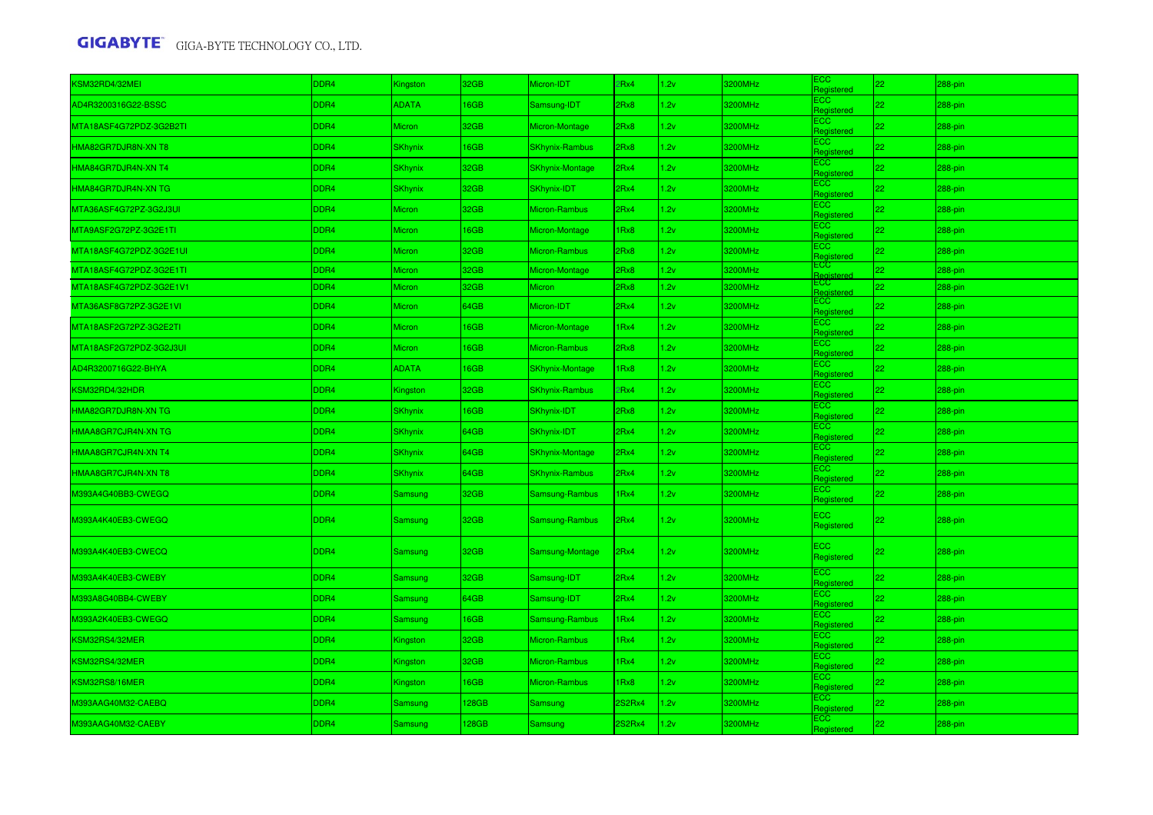| KSM32RD4/32MEI          | DDR4 | <b>Kingston</b> | 32GB         | Micron-IDT             | 2Rx4   | 1.2v | 3200MHz | <b>ECC</b><br>Registered | 22 | 288-pin |
|-------------------------|------|-----------------|--------------|------------------------|--------|------|---------|--------------------------|----|---------|
| AD4R3200316G22-BSSC     | DDR4 | <b>ADATA</b>    | <b>6GB</b>   | Samsung-IDT            | 2Rx8   | 1.2v | 3200MHz | ECC.<br>Registered       | 22 | 288-pin |
| MTA18ASF4G72PDZ-3G2B2TI | DDR4 | Micron          | 32GB         | Micron-Montage         | 2Rx8   | 1.2v | 3200MHz | ECC.<br>Registered       | 22 | 288-pin |
| HMA82GR7DJR8N-XN T8     | DDR4 | SKhynix         | <b>GGB</b>   | <b>SKhynix-Rambus</b>  | 2Rx8   | 1.2v | 3200MHz | ECC<br>Registered        | 22 | 288-pin |
| HMA84GR7DJR4N-XN T4     | DDR4 | <b>SKhynix</b>  | 32GB         | <b>SKhynix-Montage</b> | 2Rx4   | 1.2v | 3200MHz | ECC.<br>Registered       | 22 | 288-pin |
| HMA84GR7DJR4N-XN TG     | DDR4 | SKhynix         | 32GB         | SKhynix-IDT            | 2Rx4   | 1.2v | 3200MHz | ECC.<br>Registered       | 22 | 288-pin |
| MTA36ASF4G72PZ-3G2J3UI  | DDR4 | Micron          | 32GB         | Micron-Rambus          | 2Rx4   | 1.2v | 3200MHz | ECC.<br>Registered       | 22 | 288-pin |
| MTA9ASF2G72PZ-3G2E1TI   | DDR4 | Micron          | 16GB         | Micron-Montage         | 1Rx8   | 1.2v | 3200MHz | ECC.<br>Registered       | 22 | 288-pin |
| MTA18ASF4G72PDZ-3G2E1UI | DDR4 | Micron          | 32GB         | <b>Micron-Rambus</b>   | 2Rx8   | 1.2v | 3200MHz | ECC.<br>Registered       | 22 | 288-pin |
| MTA18ASF4G72PDZ-3G2E1TI | DDR4 | Micron          | 32GB         | Micron-Montage         | 2Rx8   | 1.2v | 3200MHz | ECC                      | 22 | 288-pin |
| MTA18ASF4G72PDZ-3G2E1V1 | DDR4 | Micron          | 32GB         | Micron                 | 2Rx8   | 1.2v | 3200MHz | ECC.<br>Registere        | 22 | 288-pin |
| MTA36ASF8G72PZ-3G2E1VI  | DDR4 | Micron          | 64GB         | Micron-IDT             | 2Rx4   | 1.2v | 3200MHz | ECC.<br>Registered       | 22 | 288-pin |
| MTA18ASF2G72PZ-3G2E2TI  | DDR4 | Micron          | <b>6GB</b>   | Micron-Montage         | 1Rx4   | 1.2v | 3200MHz | ECC.<br>Registered       | 22 | 288-pin |
| MTA18ASF2G72PDZ-3G2J3UI | DDR4 | Micron          | 16GB         | Micron-Rambus          | 2Rx8   | 1.2v | 3200MHz | ECC.<br>Registered       | 22 | 288-pin |
| AD4R3200716G22-BHYA     | DDR4 | <b>ADATA</b>    | 16GB         | <b>SKhynix-Montage</b> | 1Rx8   | 1.2v | 3200MHz | ЕСС<br>Registered        | 22 | 288-pin |
| KSM32RD4/32HDR          | DDR4 | Kingston        | 32GB         | <b>SKhynix-Rambus</b>  | 2Rx4   | 1.2v | 3200MHz | ECC.<br>Registered       | 22 | 288-pin |
| HMA82GR7DJR8N-XN TG     | DDR4 | SKhynix         | <b>I</b> 6GB | SKhynix-IDT            | 2Rx8   | 1.2v | 3200MHz | ECC.<br>Registered       | 22 | 288-pin |
| HMAA8GR7CJR4N-XN TG     | DDR4 | <b>SKhynix</b>  | 64GB         | SKhynix-IDT            | 2Rx4   | 1.2v | 3200MHz | ECC.<br>Registered       | 22 | 288-pin |
| HMAA8GR7CJR4N-XN T4     | DDR4 | <b>SKhynix</b>  | 64GB         | <b>SKhynix-Montage</b> | 2Rx4   | 1.2v | 3200MHz | ECC.<br>Registered       | 22 | 288-pin |
| HMAA8GR7CJR4N-XN T8     | DDR4 | SKhynix         | 64GB         | <b>SKhynix-Rambus</b>  | 2Rx4   | 1.2v | 3200MHz | ECC :<br>Registered      | 22 | 288-pin |
| M393A4G40BB3-CWEGQ      | DDR4 | Samsung         | 32GB         | Samsung-Rambus         | 1Rx4   | 1.2v | 3200MHz | ECC.<br>Registered       | 22 | 288-pin |
| M393A4K40EB3-CWEGQ      | DDR4 | <b>Samsung</b>  | 32GB         | Samsung-Rambus         | 2Rx4   | 1.2v | 3200MHz | ECC<br>Registered        | 22 | 288-pin |
| M393A4K40EB3-CWECQ      | DDR4 | <b>Samsung</b>  | 32GB         | Samsung-Montage        | 2Rx4   | 1.2v | 3200MHz | ECC<br>Registered        | 22 | 288-pin |
| M393A4K40EB3-CWEBY      | DDR4 | Samsung         | 32GB         | Samsung-IDT            | 2Rx4   | 1.2v | 3200MHz | <b>ECC</b><br>Registered | 22 | 288-pin |
| M393A8G40BB4-CWEBY      | DDR4 | Samsung         | 64GB         | Samsung-IDT            | 2Rx4   | 1.2v | 3200MHz | ECC.<br>Registered       | 22 | 288-pin |
| M393A2K40EB3-CWEGQ      | DDR4 | Samsung         | <b>GGB</b>   | Samsung-Rambus         | 1Rx4   | 1.2v | 3200MHz | ECC.<br>Registered       | 22 | 288-pin |
| KSM32RS4/32MER          | DDR4 | Kingston        | 32GB         | Micron-Rambus          | 1Rx4   | 1.2v | 3200MHz | ECC<br>Registered        | 22 | 288-pin |
| KSM32RS4/32MER          | DDR4 | <b>Kingston</b> | 32GB         | Micron-Rambus          | 1Rx4   | 1.2v | 3200MHz | ECC.<br>Registered       | 22 | 288-pin |
| KSM32RS8/16MER          | DDR4 | Kingston        | <b>6GB</b>   | Micron-Rambus          | 1Rx8   | 1.2v | 3200MHz | ECC.<br>Registered       | 22 | 288-pin |
| M393AAG40M32-CAEBQ      | DDR4 | Samsung         | 128GB        | Samsung                | 2S2Rx4 | 1.2v | 3200MHz | ECC.<br>Registered       | 22 | 288-pin |
| M393AAG40M32-CAEBY      | DDR4 | Samsung         | 128GB        | Samsung                | 2S2Rx4 | 1.2v | 3200MHz | ECC.<br>Registered       | 22 | 288-pin |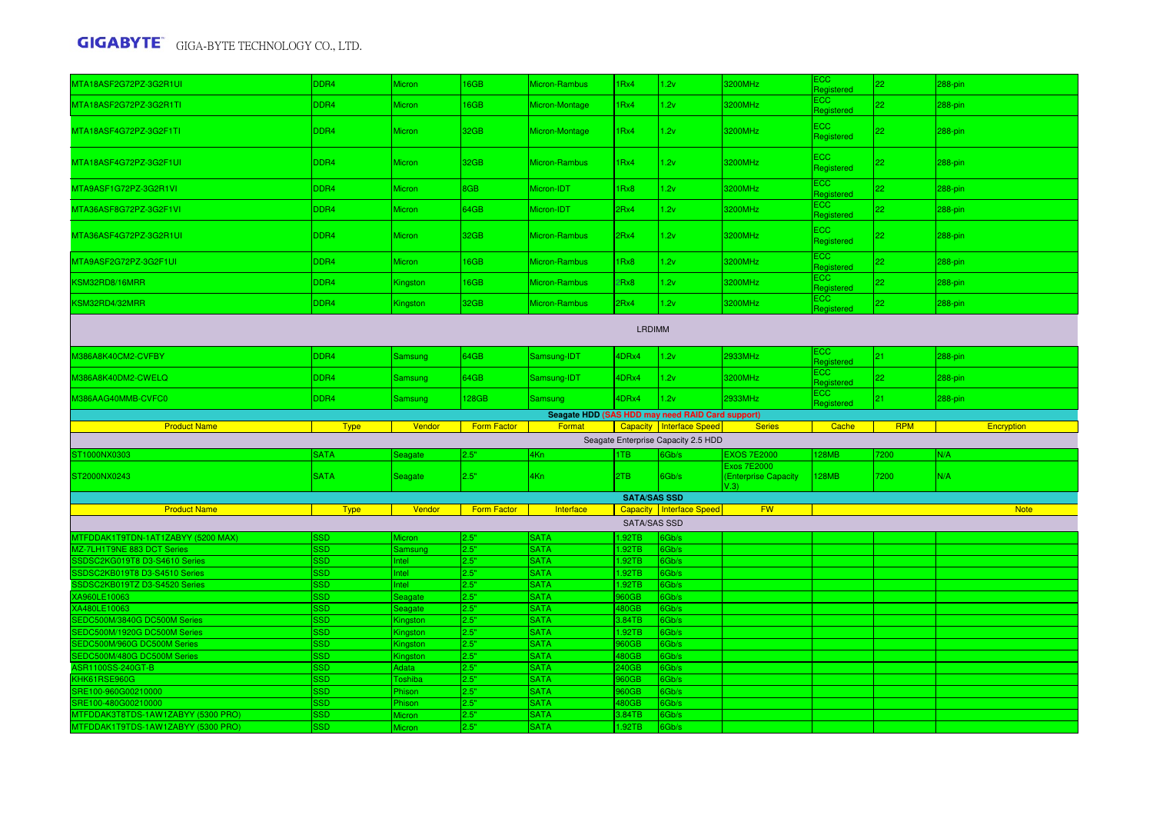| MTA18ASF2G72PZ-3G2R1UI                                    | DDR4                     | <b>Micron</b>           | 6GB                | Micron-Rambus                                    | 1Rx4                | 1.2v                                | 3200MHz                                            | ECC.<br>Registered  | 22              | 288-pin     |
|-----------------------------------------------------------|--------------------------|-------------------------|--------------------|--------------------------------------------------|---------------------|-------------------------------------|----------------------------------------------------|---------------------|-----------------|-------------|
| MTA18ASF2G72PZ-3G2R1TI                                    | DDR4                     | Micron                  | 6GB                | Micron-Montage                                   | 1Rx4                | 1.2v                                | 3200MHz                                            | ECC.<br>Registered  | 22              | 288-pin     |
| MTA18ASF4G72PZ-3G2F1TI                                    | DDR4                     | <b>Micron</b>           | 32GB               | Micron-Montage                                   | 1Rx4                | 1.2v                                | 3200MHz                                            | ECC.<br>Registered  | 22              | 288-pin     |
| MTA18ASF4G72PZ-3G2F1UI                                    | DDR4                     | Micron                  | 32GB               | Micron-Rambus                                    | 1Rx4                | 1.2v                                | 3200MHz                                            | ECC<br>Registered   | 22              | 288-pin     |
| MTA9ASF1G72PZ-3G2R1VI                                     | DDR4                     | Micron                  | BGB                | Micron-IDT                                       | 1Rx8                | 1.2v                                | 3200MHz                                            | ECC :<br>Registered | 22              | 288-pin     |
| MTA36ASF8G72PZ-3G2F1VI                                    | DDR4                     | <b>Micron</b>           | 64GB               | Micron-IDT                                       | 2Rx4                | 1.2v                                | 3200MHz                                            | ECC.<br>Registered  | 22              | 288-pin     |
| MTA36ASF4G72PZ-3G2R1UI                                    | DDR4                     | Micron                  | 32GB               | Micron-Rambus                                    | 2Rx4                | 1.2v                                | 3200MHz                                            | ECC<br>Registered   | 22              | $288-pin$   |
| MTA9ASF2G72PZ-3G2F1UI                                     | DDR4                     | <b>Micron</b>           | <b>GGB</b>         | Micron-Rambus                                    | 1Rx8                | 1.2v                                | 3200MHz                                            | ECC<br>Registered   | 22 <sub>1</sub> | 288-pin     |
| KSM32RD8/16MRR                                            | DDR4                     | Kingston                | <b>I</b> 6GB       | Micron-Rambus                                    | 2Rx8                | 1.2v                                | 3200MHz                                            | ECC.<br>Registered  | 22.             | 288-pin     |
| KSM32RD4/32MRR                                            | DDR4                     | Kingston                | 32GB               | Micron-Rambus                                    | 2Rx4                | 1.2v                                | 3200MHz                                            | ECC.<br>Registered  | 22              | 288-pin     |
|                                                           |                          |                         |                    |                                                  | <b>LRDIMM</b>       |                                     |                                                    |                     |                 |             |
| M386A8K40CM2-CVFBY                                        | DDR4                     | Samsung                 | 64GB               | Samsung-IDT                                      | 4DRx4               | 1.2v                                | 2933MHz                                            | ECC.<br>Registered  | 21              | 288-pin     |
| M386A8K40DM2-CWELQ                                        | DDR4                     | Samsung                 | 64GB               | Samsung-IDT                                      | 4DRx4               | 1.2v                                | 3200MHz                                            | ECC.<br>Registered  | $22^{\circ}$    | 288-pin     |
|                                                           | DDR4                     | <b>Samsung</b>          | 128GB              | Samsung                                          | 4DRx4               | 1.2v                                | 2933MHz                                            | ECC.                | 21              | 288-pin     |
| M386AAG40MMB-CVFC0                                        |                          |                         |                    |                                                  |                     |                                     |                                                    |                     |                 |             |
|                                                           |                          |                         |                    | Seagate HDD (SAS HDD may need RAID Card support) |                     |                                     |                                                    | Registered          |                 |             |
| <b>Product Name</b>                                       | <b>Type</b>              | Vendor                  | <b>Form Factor</b> | Format                                           |                     | Capacity Interface Speed            | <b>Series</b>                                      | Cache               | <b>RPM</b>      | Encryption  |
|                                                           |                          |                         |                    |                                                  |                     | Seagate Enterprise Capacity 2.5 HDD |                                                    |                     |                 |             |
| ST1000NX0303                                              | <b>SATA</b>              | Seagate                 | 2.5"               | 4Kn                                              | 1TB                 | 6Gb/s                               | <b>EXOS 7E2000</b>                                 | 128MB               | 7200            | N/A         |
| ST2000NX0243                                              | <b>SATA</b>              | Seagate                 | 2.5"               | 4Kn                                              | 2TB                 | 6Gb/s                               | <b>Exos 7E2000</b><br>(Enterprise Capacity<br>V.3) | 128MB               | 7200            | N/A         |
|                                                           |                          |                         |                    |                                                  | <b>SATA/SAS SSD</b> |                                     |                                                    |                     |                 |             |
| <b>Product Name</b>                                       | <b>Type</b>              | Vendor                  | <b>Form Factor</b> | Interface                                        |                     | Capacity   Interface Speed          | <b>FW</b>                                          |                     |                 | <b>Note</b> |
|                                                           |                          |                         |                    |                                                  | <b>SATA/SAS SSD</b> |                                     |                                                    |                     |                 |             |
| MTFDDAK1T9TDN-1AT1ZABYY (5200 MAX)                        | 3SD                      | <b>Micron</b>           | 2.5"               | <b>SATA</b>                                      | 1.92TB              | 6Gb/s                               |                                                    |                     |                 |             |
| MZ-7LH1T9NE 883 DCT Series                                | <b>SSD</b>               | Samsung                 | 2.5"               | <b>SATA</b>                                      | .92TB               | 6Gb/s                               |                                                    |                     |                 |             |
| SSDSC2KG019T8 D3-S4610 Series                             | SSD                      | <b>Intel</b>            | 2.5"               | <b>SATA</b>                                      | 1.92TB              | 6Gb/s                               |                                                    |                     |                 |             |
| SSDSC2KB019T8 D3-S4510 Series                             | <b>SSD</b>               | Intel                   | 2.5"               | <b>SATA</b>                                      | 1.92TB              | 6Gb/s                               |                                                    |                     |                 |             |
| SSDSC2KB019TZ D3-S4520 Series                             | <b>SSD</b>               | Intel                   | 2.5"               | <b>SATA</b>                                      | 1.92TB              | 6Gb/s                               |                                                    |                     |                 |             |
| XA960LE10063<br>XA480LE10063                              | SSD<br><b>SSD</b>        | Seagate                 | 2.5"<br>2.5"       | <b>SATA</b><br><b>SATA</b>                       | 960GB<br>480GB      | 6Gb/s                               |                                                    |                     |                 |             |
| SEDC500M/3840G DC500M Series                              | <b>SSD</b>               | Seagate                 | 2.5"               | <b>SATA</b>                                      | 3.84TB              | 6Gb/s<br>6Gb/s                      |                                                    |                     |                 |             |
| SEDC500M/1920G DC500M Series                              | <b>SSD</b>               | Kingston<br>Kingston    | 2.5"               | <b>SATA</b>                                      | 1.92TB              | 6Gb/s                               |                                                    |                     |                 |             |
| SEDC500M/960G DC500M Series                               | <b>SSD</b>               | Kingston                | 2.5"               | <b>SATA</b>                                      | 960GB               | 6Gb/s                               |                                                    |                     |                 |             |
| SEDC500M/480G DC500M Series                               | <b>SSD</b>               | Kingstor                | 2.5"               | <b>SATA</b>                                      | 480GB               | 6Gb/s                               |                                                    |                     |                 |             |
| ASR1100SS-240GT-B                                         | <b>SSD</b>               | Adata                   | 2.5"               | <b>SATA</b>                                      | 240GB               | 6Gb/s                               |                                                    |                     |                 |             |
| KHK61RSE960G                                              | SSD                      | <b>Toshiba</b>          | 2.5"               | <b>SATA</b>                                      | 960GB               | 6Gb/s                               |                                                    |                     |                 |             |
| SRE100-960G00210000                                       | <b>SD</b>                | Phison                  | 2.5"               | <b>SATA</b>                                      | 60GB                | 6Gb/s                               |                                                    |                     |                 |             |
| SRE100-480G00210000<br>MTFDDAK3T8TDS-1AW1ZABYY (5300 PRO) | <b>SSD</b><br><b>SSD</b> | Phison<br><b>Micron</b> | 2.5"<br>2.5"       | <b>SATA</b><br><b>SATA</b>                       | 480GB<br>3.84TB     | 6Gb/s<br>6Gb/s                      |                                                    |                     |                 |             |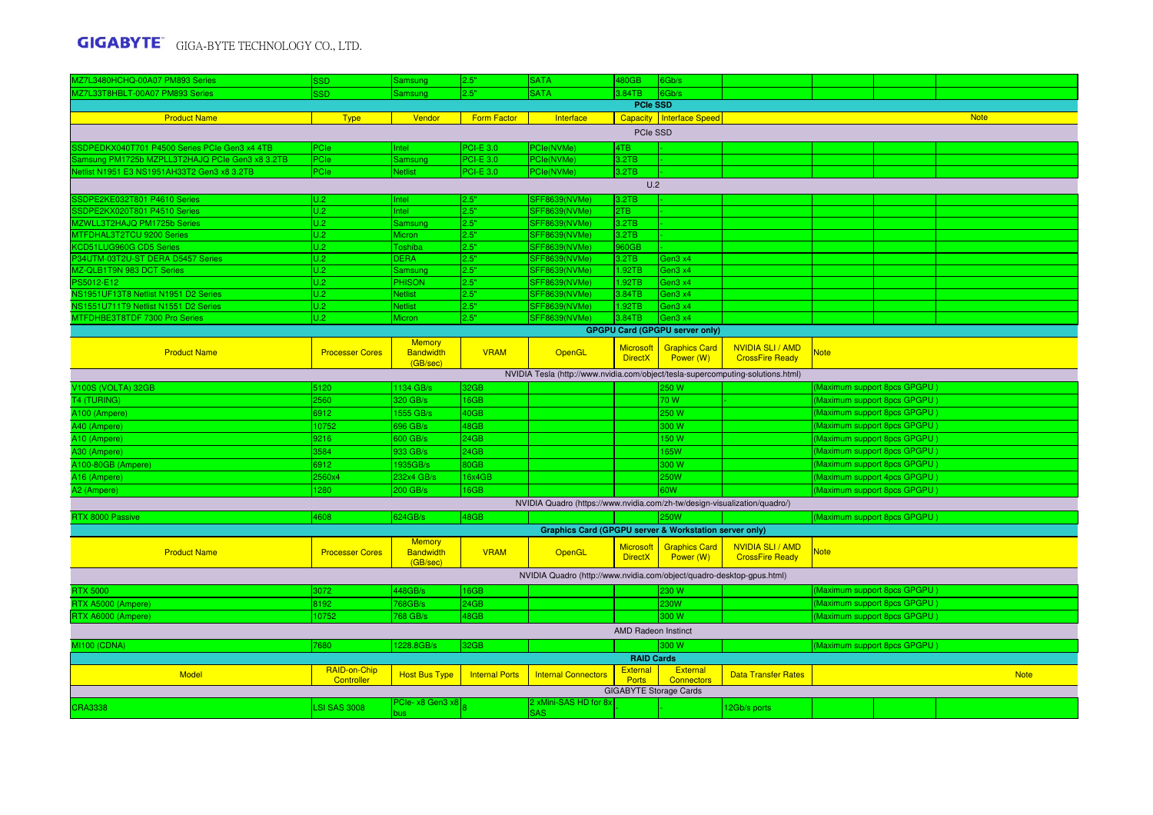| MZ7L3480HCHQ-00A07 PM893 Series                 | <b>SSD</b>                 | Samsung                                       | 2.5"                  | <b>SATA</b>                                                                     | 480GB                              | 6Gb/s                                 |                                                   |             |                              |             |
|-------------------------------------------------|----------------------------|-----------------------------------------------|-----------------------|---------------------------------------------------------------------------------|------------------------------------|---------------------------------------|---------------------------------------------------|-------------|------------------------------|-------------|
| MZ7L33T8HBLT-00A07 PM893 Series                 | <b>SSD</b>                 | Samsung                                       | 2.5"                  | <b>SATA</b>                                                                     | 3.84TB                             | 6Gb/s                                 |                                                   |             |                              |             |
|                                                 |                            |                                               |                       |                                                                                 | <b>PCIe SSD</b>                    |                                       |                                                   |             |                              |             |
| <b>Product Name</b>                             | <b>Type</b>                | Vendor                                        | <b>Form Factor</b>    | Interface                                                                       |                                    | Capacity   Interface Speed            |                                                   |             |                              | <b>Note</b> |
|                                                 |                            |                                               |                       |                                                                                 | PCIe SSD                           |                                       |                                                   |             |                              |             |
| SSDPEDKX040T701 P4500 Series PCIe Gen3 x4 4TB   | PCle                       | Intel                                         | <b>PCI-E 3.0</b>      | PCle(NVMe)                                                                      | 4TB                                |                                       |                                                   |             |                              |             |
| Samsung PM1725b MZPLL3T2HAJQ PCIe Gen3 x8 3.2TB | PCle                       | Samsung                                       | <b>PCI-E 3.0</b>      | PCle(NVMe)                                                                      | 3.2TB                              |                                       |                                                   |             |                              |             |
| Vetlist N1951 E3 NS1951AH33T2 Gen3 x8 3.2TB     | PCle                       | <b>Netlist</b>                                | <b>PCI-E 3.0</b>      | PCle(NVMe)                                                                      | 3.2TB                              |                                       |                                                   |             |                              |             |
|                                                 |                            |                                               |                       |                                                                                 | U.2                                |                                       |                                                   |             |                              |             |
| SSDPE2KE032T801 P4610 Series                    |                            |                                               |                       |                                                                                 | 3.2TB                              |                                       |                                                   |             |                              |             |
| SDPE2KX020T801 P4510 Series                     | U.2<br>U.2                 | Intel                                         | 2.5"<br>2.5"          | <b>SFF8639(NVMe)</b><br>SFF8639(NVMe)                                           | 2TB                                |                                       |                                                   |             |                              |             |
| MZWLL3T2HAJQ PM1725b Series                     | U.2                        | Intel<br>Samsung                              | 2.5"                  | <b>SFF8639(NVMe)</b>                                                            | 3.2TB                              |                                       |                                                   |             |                              |             |
| MTFDHAL3T2TCU 9200 Series                       | U.2                        | Micron                                        | 2.5"                  | SFF8639(NVMe)                                                                   | 3.2TB                              |                                       |                                                   |             |                              |             |
| <b>CD51LUG960G CD5 Series</b>                   | U.2                        | Toshiba                                       | 2.5"                  | <b>SFF8639(NVMe)</b>                                                            | 960GB                              |                                       |                                                   |             |                              |             |
| P34UTM-03T2U-ST DERA D5457 Series               | U.2                        | <b>DERA</b>                                   | 2.5"                  | <b>SFF8639(NVMe)</b>                                                            | 3.2TB                              | Gen3 x4                               |                                                   |             |                              |             |
| MZ-QLB1T9N 983 DCT Series                       | U.2                        | Samsung                                       | 2.5"                  | <b>SFF8639(NVMe)</b>                                                            | 1.92TB                             | Gen3 x4                               |                                                   |             |                              |             |
| PS5012-E12                                      | U.2                        | <b>PHISON</b>                                 | 2.5"                  | <b>SFF8639(NVMe)</b>                                                            | 1.92TB                             | Gen3 x4                               |                                                   |             |                              |             |
| NS1951UF13T8 Netlist N1951 D2 Series            | $\overline{U.2}$           | <b>Netlist</b>                                | 2.5"                  | SFF8639(NVMe)                                                                   | 3.84TB                             | Gen3 x4                               |                                                   |             |                              |             |
| <b>IS1551U711T9 Netlist N1551 D2 Series</b>     | U.2                        | <b>Netlist</b>                                | 2.5"                  | <b>SFF8639(NVMe)</b>                                                            | 1.92TB                             | Gen3 x4                               |                                                   |             |                              |             |
| MTFDHBE3T8TDF 7300 Pro Series                   | U.2                        | Micron                                        | 2.5"                  | <b>SFF8639(NVMe)</b>                                                            | 3.84TB                             | Gen3 x4                               |                                                   |             |                              |             |
|                                                 |                            |                                               |                       |                                                                                 |                                    | <b>GPGPU Card (GPGPU server only)</b> |                                                   |             |                              |             |
|                                                 |                            | <b>Memory</b>                                 |                       |                                                                                 |                                    |                                       |                                                   |             |                              |             |
| <b>Product Name</b>                             | <b>Processer Cores</b>     | <b>Bandwidth</b><br>(GB/sec)                  | <b>VRAM</b>           | OpenGL                                                                          | <b>Microsoft</b><br><b>DirectX</b> | <b>Graphics Card</b><br>Power (W)     | <b>NVIDIA SLI / AMD</b><br><b>CrossFire Ready</b> | <b>Note</b> |                              |             |
|                                                 |                            |                                               |                       | NVIDIA Tesla (http://www.nvidia.com/object/tesla-supercomputing-solutions.html) |                                    |                                       |                                                   |             |                              |             |
| V100S (VOLTA) 32GB                              | 5120                       | 1134 GB/s                                     | 32GB                  |                                                                                 |                                    | 250 W                                 |                                                   |             | Maximum support 8pcs GPGPU)  |             |
| T4 (TURING)                                     | 2560                       | 320 GB/s                                      | 16GB                  |                                                                                 |                                    | 70 W                                  |                                                   |             | Maximum support 8pcs GPGPU)  |             |
| A100 (Ampere)                                   | 6912                       | 1555 GB/s                                     | 40GB                  |                                                                                 |                                    | 250 W                                 |                                                   |             | Maximum support 8pcs GPGPU)  |             |
| A40 (Ampere)                                    | 10752                      | 696 GB/s                                      | 48GB                  |                                                                                 |                                    | 300W                                  |                                                   |             | (Maximum support 8pcs GPGPU) |             |
| A10 (Ampere)                                    | 9216                       | 600 GB/s                                      | 24GB                  |                                                                                 |                                    | 150 W                                 |                                                   |             | Maximum support 8pcs GPGPU)  |             |
| A30 (Ampere)                                    | 3584                       | 933 GB/s                                      | 24GB                  |                                                                                 |                                    | 165W                                  |                                                   |             | (Maximum support 8pcs GPGPU) |             |
| A100-80GB (Ampere)                              | 6912                       | 1935GB/s                                      | 80GB                  |                                                                                 |                                    | 300 W                                 |                                                   |             | (Maximum support 8pcs GPGPU) |             |
| A16 (Ampere)                                    | 2560x4                     | 232x4 GB/s                                    | 16x4GB                |                                                                                 |                                    | 250W                                  |                                                   |             | (Maximum support 4pcs GPGPU) |             |
| A2 (Ampere)                                     | 1280                       | 200 GB/s                                      | 16GB                  |                                                                                 |                                    | 60W                                   |                                                   |             | (Maximum support 8pcs GPGPU) |             |
|                                                 |                            |                                               |                       | NVIDIA Quadro (https://www.nvidia.com/zh-tw/design-visualization/quadro/)       |                                    |                                       |                                                   |             |                              |             |
| RTX 8000 Passive                                | 4608                       | 624GB/s                                       | 48GB                  |                                                                                 |                                    | <b>50W</b>                            |                                                   |             | Maximum support 8pcs GPGPU   |             |
|                                                 |                            |                                               |                       | <b>Graphics Card (GPGPU server &amp; Workstation server only)</b>               |                                    |                                       |                                                   |             |                              |             |
| <b>Product Name</b>                             | <b>Processer Cores</b>     | <b>Memory</b><br><b>Bandwidth</b><br>(GB/sec) | <b>VRAM</b>           | OpenGL                                                                          | <b>Microsoft</b><br><b>DirectX</b> | <b>Graphics Card</b><br>Power (W)     | <b>NVIDIA SLI / AMD</b><br><b>CrossFire Ready</b> | Note        |                              |             |
|                                                 |                            |                                               |                       | NVIDIA Quadro (http://www.nvidia.com/object/quadro-desktop-gpus.html)           |                                    |                                       |                                                   |             |                              |             |
| <b>RTX 5000</b>                                 | 3072                       | 448GB/s                                       | 16GB                  |                                                                                 |                                    | 230 W                                 |                                                   |             | Maximum support 8pcs GPGPU)  |             |
| RTX A5000 (Ampere)                              | 8192                       | 768GB/s                                       | 24GB                  |                                                                                 |                                    | 230W                                  |                                                   |             | (Maximum support 8pcs GPGPU) |             |
| RTX A6000 (Ampere)                              | 10752                      | 768 GB/s                                      | 48GB                  |                                                                                 |                                    | 300 W                                 |                                                   |             | (Maximum support 8pcs GPGPU) |             |
|                                                 |                            |                                               |                       |                                                                                 | <b>AMD Radeon Instinct</b>         |                                       |                                                   |             |                              |             |
|                                                 |                            |                                               |                       |                                                                                 |                                    |                                       |                                                   |             |                              |             |
| <b>MI100 (CDNA)</b>                             | 7680                       | 1228.8GB/s                                    | 32GB                  |                                                                                 |                                    | 300 W                                 |                                                   |             | Maximum support 8pcs GPGPU)  |             |
|                                                 |                            |                                               |                       |                                                                                 | <b>RAID Cards</b>                  |                                       |                                                   |             |                              |             |
| <b>Model</b>                                    | RAID-on-Chip<br>Controller | <b>Host Bus Type</b>                          | <b>Internal Ports</b> | <b>Internal Connectors</b>                                                      | <b>External</b><br><b>Ports</b>    | <b>External</b><br><b>Connectors</b>  | <b>Data Transfer Rates</b>                        |             |                              | <b>Note</b> |
|                                                 |                            |                                               |                       |                                                                                 |                                    | <b>GIGABYTE Storage Cards</b>         |                                                   |             |                              |             |
|                                                 |                            | PCIe- x8 Gen3 x8                              |                       | 2 xMini-SAS HD for 8x                                                           |                                    |                                       |                                                   |             |                              |             |
| <b>CRA3338</b>                                  | <b>LSI SAS 3008</b>        | bus                                           |                       | <b>SAS</b>                                                                      |                                    |                                       | 12Gb/s ports                                      |             |                              |             |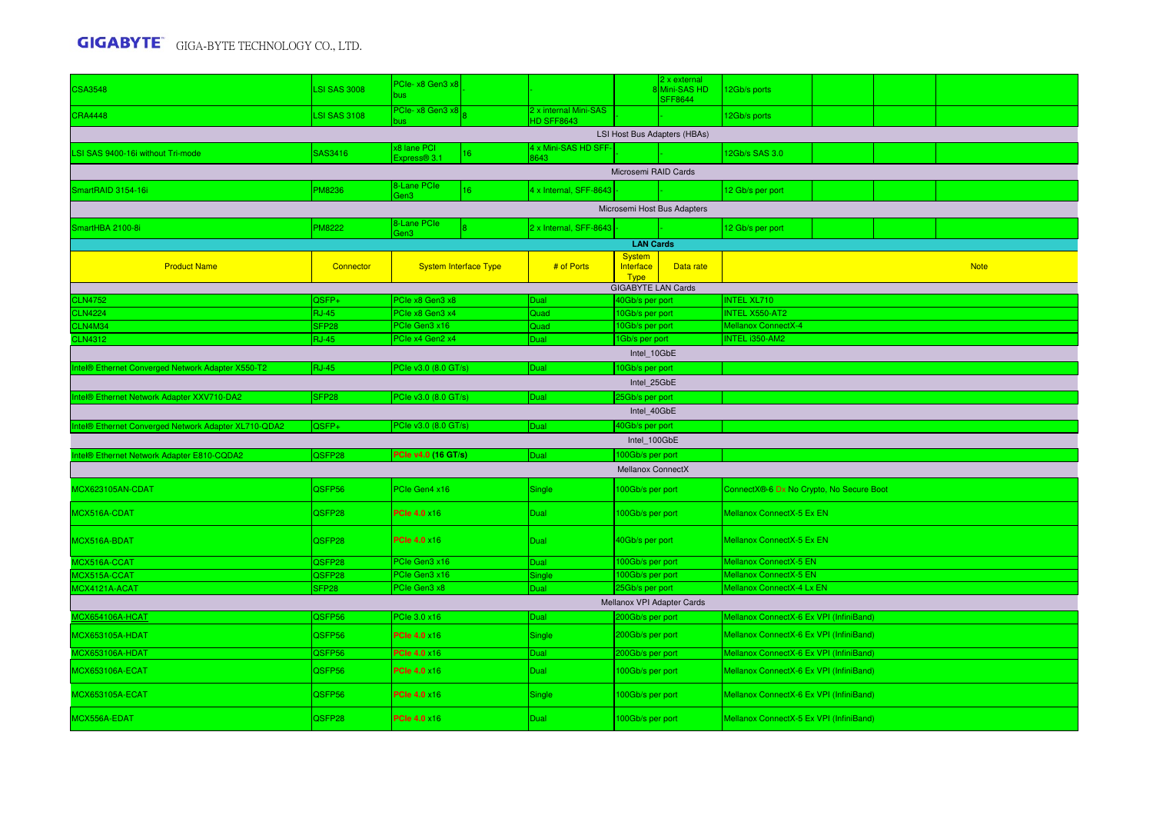| <b>CSA3548</b>                                       | <b>LSI SAS 3008</b> | PCIe- x8 Gen3 x8<br>bus        |                                            |                                              | 2 x external<br>8 Mini-SAS HD<br><b>SFF8644</b> | 12Gb/s ports                             |             |  |  |  |
|------------------------------------------------------|---------------------|--------------------------------|--------------------------------------------|----------------------------------------------|-------------------------------------------------|------------------------------------------|-------------|--|--|--|
| <b>CRA4448</b>                                       | <b>LSI SAS 3108</b> | PCIe- x8 Gen3 x8               | 2 x internal Mini-SAS<br><b>HD SFF8643</b> |                                              |                                                 | 12Gb/s ports                             |             |  |  |  |
|                                                      |                     |                                |                                            | LSI Host Bus Adapters (HBAs)                 |                                                 |                                          |             |  |  |  |
| LSI SAS 9400-16i without Tri-mode                    | SAS3416             | x8 lane PCI<br>16 <sup>°</sup> | 4 x Mini-SAS HD SFF-                       |                                              |                                                 | 12Gb/s SAS 3.0                           |             |  |  |  |
|                                                      |                     | Express <sup>®</sup> 3.1       | 8643                                       | Microsemi RAID Cards                         |                                                 |                                          |             |  |  |  |
|                                                      |                     | 8-Lane PCle                    |                                            |                                              |                                                 |                                          |             |  |  |  |
| SmartRAID 3154-16i                                   | <b>PM8236</b>       | 16 <sup>°</sup><br>Gen3        | 4 x Internal, SFF-8643                     |                                              |                                                 | 12 Gb/s per port                         |             |  |  |  |
|                                                      |                     |                                |                                            | Microsemi Host Bus Adapters                  |                                                 |                                          |             |  |  |  |
| SmartHBA 2100-8i                                     | <b>PM8222</b>       | 8-Lane PCIe<br>Gen3            | 2 x Internal, SFF-8643                     |                                              |                                                 | 12 Gb/s per port                         |             |  |  |  |
|                                                      |                     |                                |                                            | <b>LAN Cards</b>                             |                                                 |                                          |             |  |  |  |
| <b>Product Name</b>                                  | Connector           | <b>System Interface Type</b>   | # of Ports                                 | <b>System</b><br>Interface                   | Data rate                                       |                                          | <b>Note</b> |  |  |  |
|                                                      |                     |                                |                                            | <b>Type</b>                                  |                                                 |                                          |             |  |  |  |
| <b>CLN4752</b>                                       | QSFP+               | PCIe x8 Gen3 x8                | Dual                                       | <b>GIGABYTE LAN Cards</b><br>40Gb/s per port |                                                 | <b>INTEL XL710</b>                       |             |  |  |  |
| <b>CLN4224</b>                                       | <b>RJ-45</b>        | PCle x8 Gen3 x4                | Quad                                       | 10Gb/s per port                              |                                                 | <b>INTEL X550-AT2</b>                    |             |  |  |  |
| CLN4M34                                              | SFP <sub>28</sub>   | PCIe Gen3 x16                  | Quad                                       | 10Gb/s per port                              |                                                 | <b>Mellanox ConnectX-4</b>               |             |  |  |  |
| <b>CLN4312</b>                                       | <b>RJ-45</b>        | PCle x4 Gen2 x4                | Dual                                       | 1Gb/s per port                               |                                                 | INTEL i350-AM2                           |             |  |  |  |
|                                                      |                     |                                |                                            | Intel_10GbE                                  |                                                 |                                          |             |  |  |  |
| Intel® Ethernet Converged Network Adapter X550-T2    | <b>RJ-45</b>        | PCIe v3.0 (8.0 GT/s)           | Dual                                       | 10Gb/s per port                              |                                                 |                                          |             |  |  |  |
|                                                      |                     |                                |                                            | Intel 25GbE                                  |                                                 |                                          |             |  |  |  |
| Intel® Ethernet Network Adapter XXV710-DA2           | SFP <sub>28</sub>   | PCle v3.0 (8.0 GT/s)           | Dual                                       | 25Gb/s per port                              |                                                 |                                          |             |  |  |  |
|                                                      |                     |                                |                                            | Intel 40GbE                                  |                                                 |                                          |             |  |  |  |
| Intel® Ethernet Converged Network Adapter XL710-QDA2 | QSFP+               | PCIe v3.0 (8.0 GT/s)           | Dual                                       | 40Gb/s per port                              |                                                 |                                          |             |  |  |  |
|                                                      |                     |                                |                                            | Intel 100GbE                                 |                                                 |                                          |             |  |  |  |
| Intel® Ethernet Network Adapter E810-CQDA2           | QSFP28              | PCle v4.0 (16 GT/s)            | Dual                                       | 100Gb/s per port                             |                                                 |                                          |             |  |  |  |
|                                                      |                     |                                |                                            | Mellanox ConnectX                            |                                                 |                                          |             |  |  |  |
| MCX623105AN-CDAT                                     | QSFP56              | PCle Gen4 x16                  | Single                                     | 100Gb/s per port                             |                                                 | ConnectX®-6 Dx No Crypto, No Secure Boot |             |  |  |  |
| MCX516A-CDAT                                         | QSFP28              | <b>PCle 4.0 x16</b>            | <b>Dual</b>                                | 100Gb/s per port                             |                                                 | Mellanox ConnectX-5 Ex EN                |             |  |  |  |
| MCX516A-BDAT                                         | QSFP28              | <b>PCIe 4.0 ×16</b>            | Dual                                       | 40Gb/s per port                              |                                                 | Mellanox ConnectX-5 Ex EN                |             |  |  |  |
| MCX516A-CCAT                                         | QSFP28              | PCIe Gen3 x16                  | Dual                                       | 100Gb/s per port                             |                                                 | Mellanox ConnectX-5 EN                   |             |  |  |  |
| MCX515A-CCAT                                         | QSFP28              | PCIe Gen3 x16                  | Single                                     | 100Gb/s per port                             |                                                 | Mellanox ConnectX-5 EN                   |             |  |  |  |
| MCX4121A-ACAT                                        | SFP <sub>28</sub>   | PCIe Gen3 x8                   | <b>Dual</b>                                | 25Gb/s per port                              |                                                 | Mellanox ConnectX-4 Lx EN                |             |  |  |  |
|                                                      |                     |                                |                                            | Mellanox VPI Adapter Cards                   |                                                 |                                          |             |  |  |  |
| <b>MCX654106A-HCAT</b>                               | QSFP56              | PCle 3.0 x16                   | Dual                                       | 200Gb/s per port                             |                                                 | Mellanox ConnectX-6 Ex VPI (InfiniBand)  |             |  |  |  |
| <b>MCX653105A-HDAT</b>                               | QSFP56              | <b>PCIe 4.0 ×16</b>            | Single                                     | 200Gb/s per port                             |                                                 | Mellanox ConnectX-6 Ex VPI (InfiniBand)  |             |  |  |  |
| MCX653106A-HDAT                                      | QSFP56              | <b>PCle 4.0 x16</b>            | <b>Dual</b>                                | 200Gb/s per port                             |                                                 | Mellanox ConnectX-6 Ex VPI (InfiniBand)  |             |  |  |  |
| <b>MCX653106A-ECAT</b>                               | QSFP56              | <b>PCIe 4.0 ×16</b>            | Dual                                       | 100Gb/s per port                             |                                                 | Mellanox ConnectX-6 Ex VPI (InfiniBand)  |             |  |  |  |
| <b>MCX653105A-ECAT</b>                               | QSFP56              | <b>PCle 4.0 x16</b>            | Single                                     | 100Gb/s per port                             |                                                 | Mellanox ConnectX-6 Ex VPI (InfiniBand)  |             |  |  |  |
| MCX556A-EDAT                                         | QSFP28              | <b>PCle 4.0 x16</b>            | Dual                                       | 100Gb/s per port                             |                                                 | Mellanox ConnectX-5 Ex VPI (InfiniBand)  |             |  |  |  |